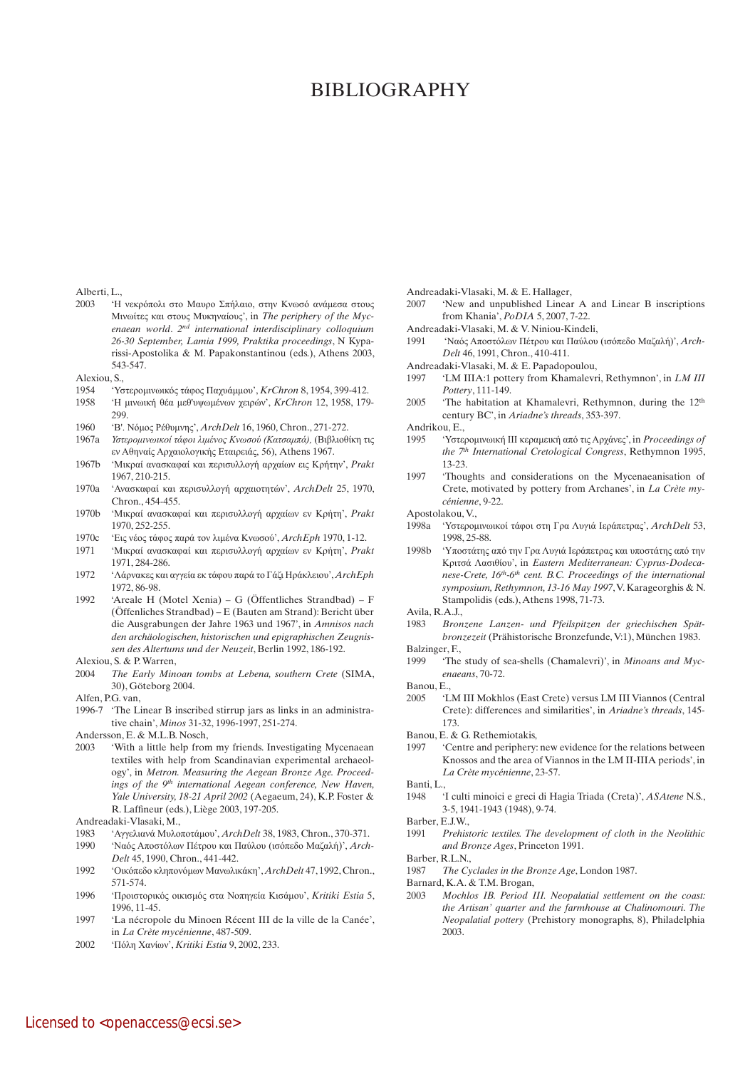## Bibliography

Alberti, L.,

- 2003 'Η νεκρόπολι στο Μαυρο Σπήλαιο, στην Κνωσό ανάμεσα στους Μινωίτες και στους Μυκηναίους', in *The periphery of the Mycenaean world*. *2nd international interdisciplinary colloquium 26-30 September, Lamia 1999, Praktika proceedings*, N Kyparissi-Apostolika & M. Papakonstantinou (eds.), Athens 2003, 543-547.
- Alexiou, S.,
- 1954 'Υστερομινωικός τάφος Παχυάμμου', *KrChron* 8, 1954, 399-412.
- 1958 'Η μινωική θέα μεθ'υψωμένων χειρών', *KrChron* 12, 1958, 179- 299.
- 1960 'Β'. Νόμος Ρέθυμνης', *ArchDelt* 16, 1960, Chron., 271-272.
- 1967a *Υστερομινωικοί τάφοι λιμένος Κνωσού (Κατσαμπά),* (Βιβλιοθίκη τις εν Αθηναίς Αρχαιολογικής Εταιρειάς, 56), Athens 1967.
- 1967b 'Μικραί ανασκαφαί και περισυλλογή αρχαίων εις Κρήτην', *Prakt* 1967, 210-215.
- 1970a 'Ανασκαφαί και περισυλλογή αρχαιοτητών', *ArchDelt* 25, 1970, Chron., 454-455.
- 1970b 'Μικραί ανασκαφαί και περισυλλογή αρχαίων εν Κρήτη', *Prakt* 1970, 252-255.
- 1970c 'Εις νέος τάφος παρά τον λιμένα Κνωσού', *ArchEph* 1970, 1-12.
- 1971 'Μικραί ανασκαφαί και περισυλλογή αρχαίων εν Κρήτη', *Prakt*
- 1971, 284-286. 1972 'Λάρνακες και αγγεία εκ τάφου παρά το Γάζι Ηράκλειου', *ArchEph* 1972, 86-98.
- 1992 'Areale H (Motel Xenia) G (Öffentliches Strandbad) F (Öffenliches Strandbad) – E (Bauten am Strand): Bericht über die Ausgrabungen der Jahre 1963 und 1967', in *Amnisos nach den archäologischen, historischen und epigraphischen Zeugnissen des Altertums und der Neuzeit*, Berlin 1992, 186-192.
- Alexiou, S. & P. Warren,
- 2004 *The Early Minoan tombs at Lebena, southern Crete* (SIMA, 30), Göteborg 2004.
- Alfen, P.G. van,
- 1996-7 'The Linear B inscribed stirrup jars as links in an administrative chain', *Minos* 31-32, 1996-1997, 251-274.
- Andersson, E. & M.L.B. Nosch,
- 2003 'With a little help from my friends. Investigating Mycenaean textiles with help from Scandinavian experimental archaeology', in *Metron. Measuring the Aegean Bronze Age. Proceed*ings of the 9<sup>th</sup> international Aegean conference, New Haven, *Yale University, 18-21 April 2002* (Aegaeum, 24), K.P. Foster & R. Laffineur (eds.), Liège 2003, 197-205.
- Andreadaki-Vlasaki, M.,
- 1983 'Αγγελιανά Μυλοποτάμου', *ArchDelt* 38, 1983, Chron., 370-371.
- 1990 'Ναός Αποστόλων Πέτρου και Παύλου (ισόπεδο Μαζαλή)', *Arch-Delt* 45, 1990, Chron., 441-442.
- 1992 'Οικόπεδο κληπονόμων Μανωλικάκη', *ArchDelt* 47, 1992, Chron., 571-574.
- 1996 'Προιστορικός οικισμός στα Νοπηγεία Κισάμου', *Kritiki Estia* 5, 1996, 11-45.
- 1997 'La nécropole du Minoen Récent III de la ville de la Canée', in *La Crète mycénienne*, 487-509.
- 2002 'Πόλη Χανίων', *Kritiki Estia* 9, 2002, 233.

Andreadaki-Vlasaki, M. & E. Hallager,

- 2007 'New and unpublished Linear A and Linear B inscriptions from Khania', *PoDIA* 5, 2007, 7-22.
- Andreadaki-Vlasaki, M. & V. Niniou-Kindeli,
- 1991 'Ναός Αποστόλων Πέτρου και Παύλου (ισόπεδο Μαζαλή)', *Arch-Delt* 46, 1991, Chron., 410-411.
- Andreadaki-Vlasaki, M. & E. Papadopoulou,
- 1997 'LM IIIA:1 pottery from Khamalevri, Rethymnon', in *LM III Pottery*, 111-149.
- 2005 'The habitation at Khamalevri, Rethymnon, during the  $12<sup>th</sup>$ century BC', in *Ariadne's threads*, 353-397.
- Andrikou, E.,
- 1995 'Υστερομινωική ΙΙΙ κεραμεική από τις Αρχάνες', in *Proceedings of the 7th International Cretological Congress*, Rethymnon 1995, 13-23.
- 1997 'Thoughts and considerations on the Mycenaeanisation of Crete, motivated by pottery from Archanes', in *La Crète mycénienne*, 9-22.
- Apostolakou, V.,
- 1998a 'Υστερομινωικοί τάφοι στη Γρα Λυγιά Ιεράπετρας', *ArchDelt* 53, 1998, 25-88.
- 1998b 'Υποστάτης από την Γρα Λυγιά Ιεράπετρας και υποστάτης από την Κριτσά Λασιθίου', in *Eastern Mediterranean: Cyprus-Dodecanese-Crete, 16th-6th cent. B.C. Proceedings of the international symposium, Rethymnon, 13-16 May 1997*, V. Karageorghis & N. Stampolidis (eds.), Athens 1998, 71-73.

Avila, R.A.J.,

- 1983 *Bronzene Lanzen- und Pfeilspitzen der griechischen Spätbronzezeit* (Prähistorische Bronzefunde, V:1), München 1983. Balzinger, F.,
- 1999 'The study of sea-shells (Chamalevri)', in *Minoans and Mycenaeans*, 70-72.
- Banou, E.,
- 2005 'LM III Mokhlos (East Crete) versus LM III Viannos (Central Crete): differences and similarities', in *Ariadne's threads*, 145- 173.
- Banou, E. & G. Rethemiotakis,
- 1997 'Centre and periphery: new evidence for the relations between Knossos and the area of Viannos in the LM II-IIIA periods', in *La Crète mycénienne*, 23-57.
- Banti, L.,
- 1948 'I culti minoici e greci di Hagia Triada (Creta)', *ASAtene* N.S., 3-5, 1941-1943 (1948), 9-74.
- Barber, E.J.W.,
- 1991 *Prehistoric textiles. The development of cloth in the Neolithic and Bronze Ages*, Princeton 1991.
- Barber, R.L.N.,
- 1987 *The Cyclades in the Bronze Age*, London 1987.
- Barnard, K.A. & T.M. Brogan,
- 2003 *Mochlos IB. Period III. Neopalatial settlement on the coast: the Artisan' quarter and the farmhouse at Chalinomouri. The Neopalatial pottery* (Prehistory monographs, 8), Philadelphia 2003.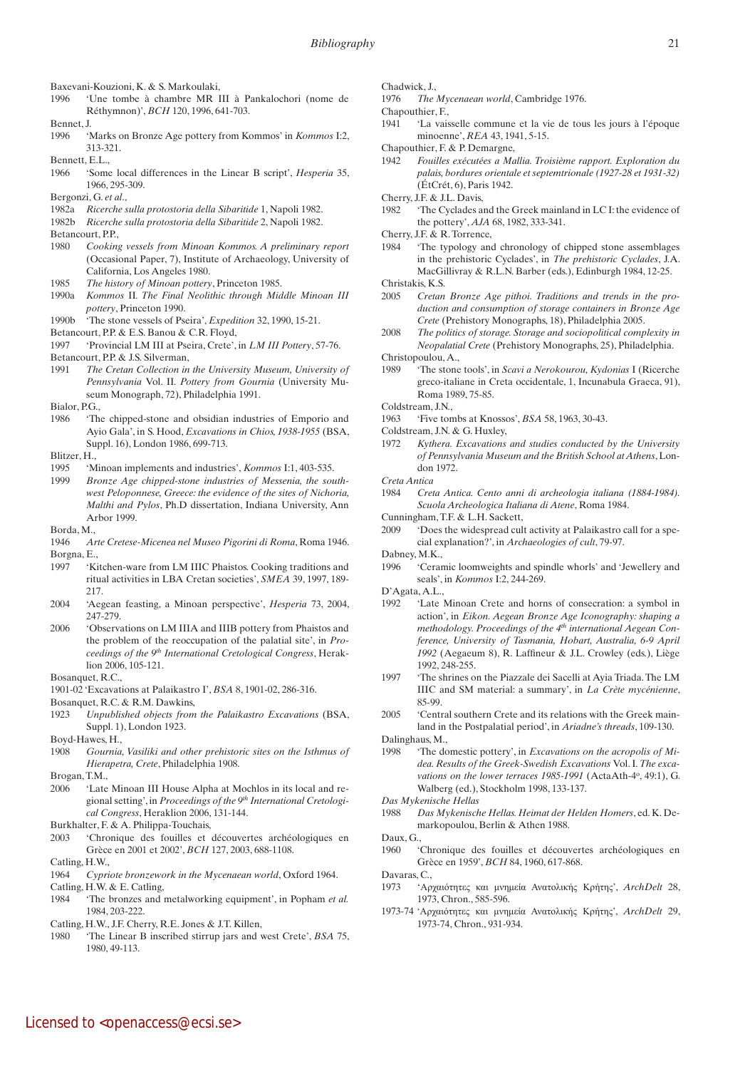- Baxevani-Kouzioni, K. & S. Markoulaki,
- 1996 'Une tombe à chambre MR III à Pankalochori (nome de Réthymnon)', *BCH* 120, 1996, 641-703.
- Bennet, J.
- 1996 'Marks on Bronze Age pottery from Kommos' in *Kommos* I:2, 313-321.
- Bennett, E.L.,
- 1966 'Some local differences in the Linear B script', *Hesperia* 35, 1966, 295-309.
- Bergonzi, G. *et al*.,
- 1982a *Ricerche sulla protostoria della Sibaritide* 1, Napoli 1982.
- 1982b *Ricerche sulla protostoria della Sibaritide* 2, Napoli 1982. Betancourt, P.P.,
- 1980 *Cooking vessels from Minoan Kommos. A preliminary report* (Occasional Paper, 7), Institute of Archaeology, University of California, Los Angeles 1980.
- 1985 *The history of Minoan pottery*, Princeton 1985.
- 1990a *Kommos* II*. The Final Neolithic through Middle Minoan III pottery*, Princeton 1990.
- 1990b 'The stone vessels of Pseira', *Expedition* 32, 1990, 15-21.
- Betancourt, P.P. & E.S. Banou & C.R. Floyd,
- 1997 'Provincial LM III at Pseira, Crete', in *LM III Pottery*, 57-76. Betancourt, P.P. & J.S. Silverman,
- 1991 *The Cretan Collection in the University Museum, University of Pennsylvania* Vol. II*. Pottery from Gournia* (University Museum Monograph, 72), Philadelphia 1991.
- Bialor, P.G.,
- 1986 'The chipped-stone and obsidian industries of Emporio and Ayio Gala', in S. Hood, *Excavations in Chios, 1938-1955* (BSA, Suppl. 16), London 1986, 699-713.
- Blitzer, H.,
- 1995 'Minoan implements and industries', *Kommos* I:1, 403-535.
- 1999 *Bronze Age chipped-stone industries of Messenia, the southwest Peloponnese, Greece: the evidence of the sites of Nichoria, Malthi and Pylos*, Ph.D dissertation, Indiana University, Ann Arbor 1999.
- Borda, M.,
- 1946 *Arte Cretese-Micenea nel Museo Pigorini di Roma*, Roma 1946. Borgna, E.,
- 1997 'Kitchen-ware from LM IIIC Phaistos. Cooking traditions and ritual activities in LBA Cretan societies', *SMEA* 39, 1997, 189- 217.
- 2004 'Aegean feasting, a Minoan perspective', *Hesperia* 73, 2004, 247-279.
- 2006 'Observations on LM IIIA and IIIB pottery from Phaistos and the problem of the reoccupation of the palatial site', in *Proceedings of the 9th International Cretological Congress*, Heraklion 2006, 105-121.
- Bosanquet, R.C.
- 1901-02 'Excavations at Palaikastro I', *BSA* 8, 1901-02, 286-316.

Bosanquet, R.C. & R.M. Dawkins,

- 1923 *Unpublished objects from the Palaikastro Excavations* (BSA, Suppl. 1), London 1923.
- Boyd-Hawes, H.,
- 1908 *Gournia, Vasiliki and other prehistoric sites on the Isthmus of Hierapetra, Crete*, Philadelphia 1908.

Brogan, T.M.,

- 2006 'Late Minoan III House Alpha at Mochlos in its local and regional setting', in *Proceedings of the 9th International Cretological Congress*, Heraklion 2006, 131-144.
- Burkhalter, F. & A. Philippa-Touchais,
- 2003 'Chronique des fouilles et découvertes archéologiques en Grèce en 2001 et 2002', *BCH* 127, 2003, 688-1108.
- Catling, H.W.,
- 1964 *Cypriote bronzework in the Mycenaean world*, Oxford 1964.
- Catling, H.W. & E. Catling,
- 1984 'The bronzes and metalworking equipment', in Popham *et al.* 1984, 203-222.
- Catling, H.W., J.F. Cherry, R.E. Jones & J.T. Killen,
- 1980 'The Linear B inscribed stirrup jars and west Crete', *BSA* 75, 1980, 49-113.
- Chadwick, J.,
- 1976 *The Mycenaean world*, Cambridge 1976.
- Chapouthier, F.,
- 1941 'La vaisselle commune et la vie de tous les jours à l'époque minoenne', *REA* 43, 1941, 5-15.
- Chapouthier, F. & P. Demargne,
- 1942 *Fouilles exécutées a Mallia. Troisième rapport. Exploration du palais, bordures orientale et septemtrionale (1927-28 et 1931-32)* (ÉtCrét, 6), Paris 1942.
- Cherry, J.F. & J.L. Davis,
- 1982 'The Cyclades and the Greek mainland in LC I: the evidence of the pottery', *AJA* 68, 1982, 333-341.
- Cherry, J.F. & R. Torrence,
- 1984 'The typology and chronology of chipped stone assemblages in the prehistoric Cyclades', in *The prehistoric Cyclades*, J.A. MacGillivray & R.L.N. Barber (eds.), Edinburgh 1984, 12-25.
- Christakis, K.S.
- 2005 *Cretan Bronze Age pithoi. Traditions and trends in the production and consumption of storage containers in Bronze Age Crete* (Prehistory Monographs, 18), Philadelphia 2005.
- 2008 *The politics of storage. Storage and sociopolitical complexity in Neopalatial Crete* (Prehistory Monographs, 25), Philadelphia.
- Christopoulou, A.,
- 1989 'The stone tools', in *Scavi a Nerokourou, Kydonias* I (Ricerche greco-italiane in Creta occidentale, 1, Incunabula Graeca, 91), Roma 1989, 75-85.
- Coldstream, J.N.,
- 1963 'Five tombs at Knossos', *BSA* 58, 1963, 30-43.
- Coldstream, J.N. & G. Huxley,
- 1972 *Kythera. Excavations and studies conducted by the University of Pennsylvania Museum and the British School at Athens*, London 1972.
- *Creta Antica*
- 1984 *Creta Antica. Cento anni di archeologia italiana (1884-1984). Scuola Archeologica Italiana di Atene*, Roma 1984.
- Cunningham, T.F. & L.H. Sackett,
- 2009 'Does the widespread cult activity at Palaikastro call for a special explanation?', in *Archaeologies of cult*, 79-97.
- Dabney, M.K.,
- 1996 'Ceramic loomweights and spindle whorls' and 'Jewellery and seals', in *Kommos* I:2, 244-269.
- D'Agata, A.L.,
- 1992 'Late Minoan Crete and horns of consecration: a symbol in action', in *Eikon. Aegean Bronze Age Iconography: shaping a*  methodology. Proceedings of the 4<sup>th</sup> international Aegean Con*ference, University of Tasmania, Hobart, Australia, 6-9 April 1992* (Aegaeum 8), R. Laffineur & J.L. Crowley (eds.), Liège 1992, 248-255.
- 1997 'The shrines on the Piazzale dei Sacelli at Ayia Triada. The LM IIIC and SM material: a summary', in *La Crète mycénienne*, 85-99.
- 2005 'Central southern Crete and its relations with the Greek mainland in the Postpalatial period', in *Ariadne's threads*, 109-130. Dalinghaus, M.,
- 1998 'The domestic pottery', in *Excavations on the acropolis of Midea. Results of the Greek-Swedish Excavations* Vol. I*. The exca*vations on the lower terraces 1985-1991 (ActaAth-4°, 49:1), G. Walberg (ed.), Stockholm 1998, 133-137.
- *Das Mykenische Hellas*
- 1988 *Das Mykenische Hellas. Heimat der Helden Homers*, ed. K. Demarkopoulou, Berlin & Athen 1988.
- Daux, G.
- 1960 'Chronique des fouilles et découvertes archéologiques en Grèce en 1959', *BCH* 84, 1960, 617-868.
- Davaras, C.,
- 1973 'Αρχαιότητες και μνημεία Ανατολικής Κρήτης', *ArchDelt* 28, 1973, Chron., 585-596.
- 1973-74 'Αρχαιότητες και μνημεία Ανατολικής Κρήτης', *ArchDelt* 29, 1973-74, Chron., 931-934.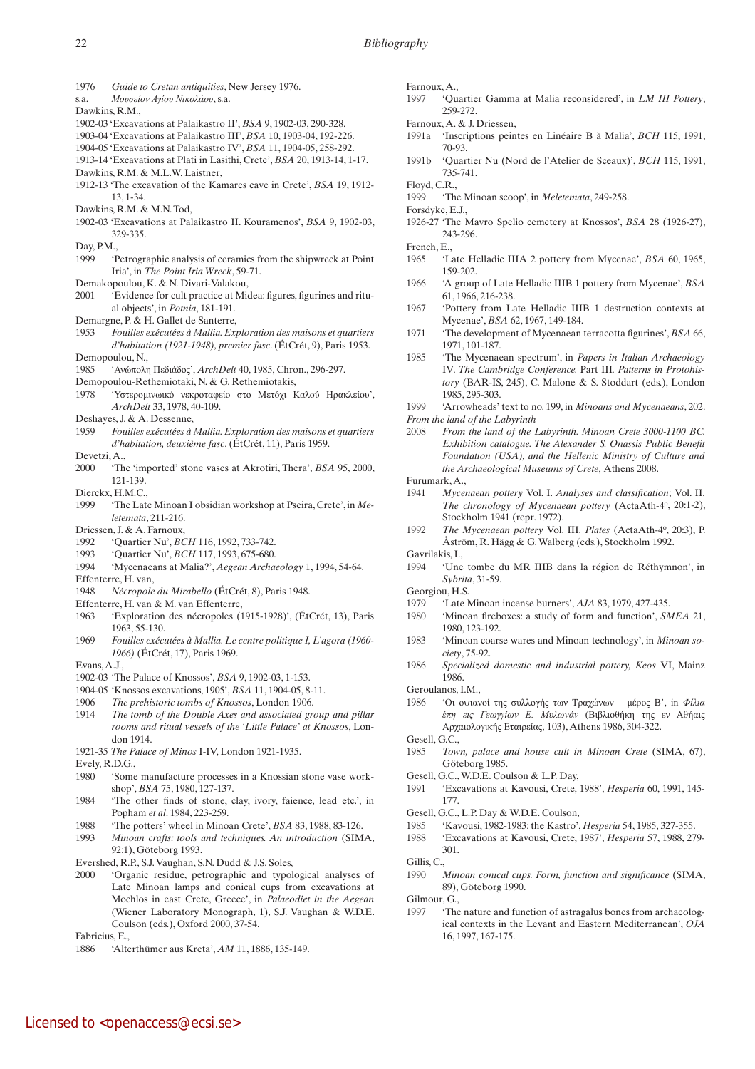- 1976 *Guide to Cretan antiquities*, New Jersey 1976.
- s.a. *Μουσείον Αγίου Νικολάου*, s.a.
- Dawkins, R.M.,
- 1902-03 'Excavations at Palaikastro II', *BSA* 9, 1902-03, 290-328.
- 1903-04 'Excavations at Palaikastro III', *BSA* 10, 1903-04, 192-226.
- 1904-05 'Excavations at Palaikastro IV', *BSA* 11, 1904-05, 258-292.
- 1913-14 'Excavations at Plati in Lasithi, Crete', *BSA* 20, 1913-14, 1-17. Dawkins, R.M. & M.L.W. Laistner,
- 1912-13 'The excavation of the Kamares cave in Crete', *BSA* 19, 1912- 13, 1-34.
- Dawkins, R.M. & M.N. Tod,
- 1902-03 'Excavations at Palaikastro II. Kouramenos', *BSA* 9, 1902-03, 329-335.
- Day, P.M.,
- 1999 'Petrographic analysis of ceramics from the shipwreck at Point Iria', in *The Point Iria Wreck*, 59-71.
- Demakopoulou, K. & N. Divari-Valakou,
- 2001 'Evidence for cult practice at Midea: figures, figurines and ritual objects', in *Potnia*, 181-191.
- Demargne, P. & H. Gallet de Santerre,
- 1953 *Fouilles exécutées à Mallia. Exploration des maisons et quartiers d'habitation (1921-1948), premier fasc*. (ÉtCrét, 9), Paris 1953. Demopoulou, N.,
- 1985 'Ανώπολη Πεδιάδος', *ArchDelt* 40, 1985, Chron., 296-297.
- Demopoulou-Rethemiotaki, N. & G. Rethemiotakis,
- 1978 'Υστερομινωικό νεκροταφείο στο Μετόχι Καλού Ηρακλείου', *ArchDelt* 33, 1978, 40-109.
- Deshayes, J. & A. Dessenne,
- 1959 *Fouilles exécutées à Mallia. Exploration des maisons et quartiers d'habitation, deuxième fasc*. (ÉtCrét, 11), Paris 1959.
- Devetzi, A.,
- 2000 'The 'imported' stone vases at Akrotiri, Thera', *BSA* 95, 2000, 121-139.
- Dierckx, H.M.C.
- 1999 'The Late Minoan I obsidian workshop at Pseira, Crete', in *Meletemata*, 211-216.
- Driessen, J. & A. Farnoux,
- 1992 'Quartier Nu', *BCH* 116, 1992, 733-742.
- 1993 'Quartier Nu', *BCH* 117, 1993, 675-680.
- 1994 'Mycenaeans at Malia?', *Aegean Archaeology* 1, 1994, 54-64. Effenterre, H. van,
- 1948 *Nécropole du Mirabello* (ÉtCrét, 8), Paris 1948.
- Effenterre, H. van & M. van Effenterre,
- 1963 'Exploration des nécropoles (1915-1928)', (ÉtCrét, 13), Paris 1963, 55-130.
- 1969 *Fouilles exécutées à Mallia. Le centre politique I, L'agora (1960- 1966)* (ÉtCrét, 17), Paris 1969.
- Evans, A.J.,
- 1902-03 'The Palace of Knossos', *BSA* 9, 1902-03, 1-153.
- 1904-05 'Knossos excavations, 1905', *BSA* 11, 1904-05, 8-11.
- 1906 *The prehistoric tombs of Knossos*, London 1906.
- 1914 *The tomb of the Double Axes and associated group and pillar rooms and ritual vessels of the 'Little Palace' at Knossos*, London 1914.
- 1921-35 *The Palace of Minos* I-IV, London 1921-1935.
- Evely, R.D.G.,
- 1980 'Some manufacture processes in a Knossian stone vase workshop', *BSA* 75, 1980, 127-137.
- 1984 'The other finds of stone, clay, ivory, faience, lead etc.', in Popham *et al*. 1984, 223-259.
- 1988 'The potters' wheel in Minoan Crete', *BSA* 83, 1988, 83-126.
- 1993 *Minoan crafts: tools and techniques. An introduction* (SIMA, 92:1), Göteborg 1993.
- Evershed, R.P., S.J. Vaughan, S.N. Dudd & J.S. Soles,
- 2000 'Organic residue, petrographic and typological analyses of Late Minoan lamps and conical cups from excavations at Mochlos in east Crete, Greece', in *Palaeodiet in the Aegean* (Wiener Laboratory Monograph, 1), S.J. Vaughan & W.D.E. Coulson (eds.), Oxford 2000, 37-54.

Fabricius, E.,

1886 'Alterthümer aus Kreta', *AM* 11, 1886, 135-149.

- Farnoux, A.,
	- 1997 'Quartier Gamma at Malia reconsidered', in *LM III Pottery*, 259-272.
- Farnoux, A. & J. Driessen,
- 1991a 'Inscriptions peintes en Linéaire B à Malia', *BCH* 115, 1991, 70-93.
- 1991b 'Quartier Nu (Nord de l'Atelier de Sceaux)', *BCH* 115, 1991, 735-741.
- Floyd, C.R.,
- 1999 'The Minoan scoop', in *Meletemata*, 249-258.
- Forsdyke, E.J.,
- 1926-27 'The Mavro Spelio cemetery at Knossos', *BSA* 28 (1926-27), 243-296.
- French, E.,
- 1965 'Late Helladic IIIA 2 pottery from Mycenae', *BSA* 60, 1965, 159-202.
- 1966 'A group of Late Helladic IIIB 1 pottery from Mycenae', *BSA* 61, 1966, 216-238.
- 1967 'Pottery from Late Helladic IIIB 1 destruction contexts at Mycenae', *BSA* 62, 1967, 149-184.
- 1971 'The development of Mycenaean terracotta figurines', *BSA* 66, 1971, 101-187.
- 1985 'The Mycenaean spectrum', in *Papers in Italian Archaeology*  IV*. The Cambridge Conference.* Part III*. Patterns in Protohistory* (BAR-IS, 245), C. Malone & S. Stoddart (eds.), London 1985, 295-303.
- 1999 'Arrowheads' text to no. 199, in *Minoans and Mycenaeans*, 202.
- *From the land of the Labyrinth*
- 2008 *From the land of the Labyrinth. Minoan Crete 3000-1100 BC. Exhibition catalogue. The Alexander S. Onassis Public Benefit Foundation (USA), and the Hellenic Ministry of Culture and the Archaeological Museums of Crete*, Athens 2008.

Furumark, A.,

- 1941 *Mycenaean pottery* Vol. I. *Analyses and classification*; Vol. II. *The chronology of Mycenaean pottery* (ActaAth-4o, 20:1-2), Stockholm 1941 (repr. 1972).
- 1992 *The Mycenaean pottery* Vol. III. *Plates* (ActaAth-4o, 20:3), P. Åström, R. Hägg & G. Walberg (eds.), Stockholm 1992.
- Gavrilakis, I.,
- 1994 'Une tombe du MR IIIB dans la région de Réthymnon', in *Sybrita*, 31-59.
- Georgiou, H.S.
- 1979 'Late Minoan incense burners', *AJA* 83, 1979, 427-435.
- 1980 'Minoan fireboxes: a study of form and function', *SMEA* 21, 1980, 123-192.
- 1983 'Minoan coarse wares and Minoan technology', in *Minoan society*, 75-92.
- 1986 *Specialized domestic and industrial pottery, Keos* VI, Mainz 1986.
- Geroulanos, I.M.,
- 1986 'Οι οψιανοί της συλλογής των Τραχώνων μέρος Β', in *Φίλια έπη εις Γεωγγίων Ε. Μυλωνάν* (Βιβλιοθήκη της εν Αθήαις Αρχαιολογικής Εταιρείας, 103), Athens 1986, 304-322.
- Gesell, G.C.,
- 1985 *Town, palace and house cult in Minoan Crete* (SIMA, 67), Göteborg 1985.
- Gesell, G.C., W.D.E. Coulson & L.P. Day,
- 1991 'Excavations at Kavousi, Crete, 1988', *Hesperia* 60, 1991, 145- 177.
- Gesell, G.C., L.P. Day & W.D.E. Coulson,
- 1985 'Kavousi, 1982-1983: the Kastro', *Hesperia* 54, 1985, 327-355.
- 1988 'Excavations at Kavousi, Crete, 1987', *Hesperia* 57, 1988, 279- 301.

Gillis, C.,

- 1990 *Minoan conical cups. Form, function and significance* (SIMA, 89), Göteborg 1990.
- Gilmour, G.,
- 1997 'The nature and function of astragalus bones from archaeological contexts in the Levant and Eastern Mediterranean', *OJA* 16, 1997, 167-175.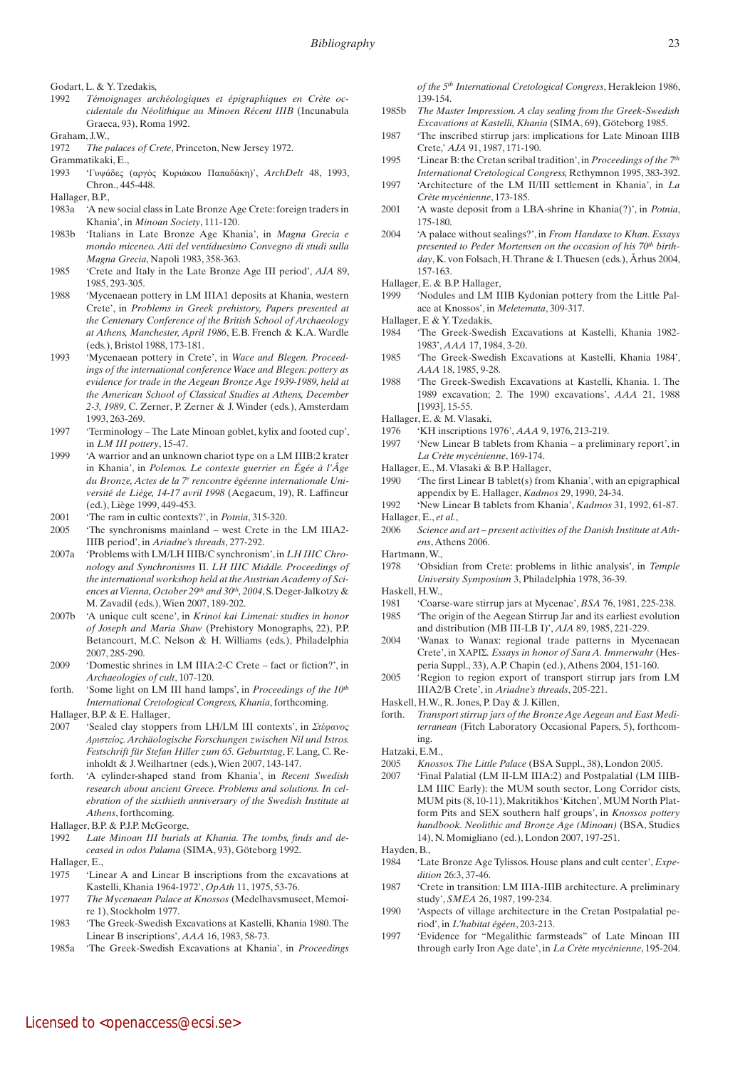Godart, L. & Y. Tzedakis,

- 1992 *Témoignages archéologiques et épigraphiques en Crète occidentale du Néolithique au Minoen Récent IIIB* (Incunabula Graeca, 93), Roma 1992.
- Graham, J.W.,
- 1972 *The palaces of Crete*, Princeton, New Jersey 1972.

Grammatikaki, E.,

- 1993 'Γυψάδες (αργός Κυριάκου Παπαδάκη)', *ArchDelt* 48, 1993, Chron., 445-448.
- Hallager, B.P.,
- 1983a 'A new social class in Late Bronze Age Crete: foreign traders in Khania', in *Minoan Society*, 111-120.
- 1983b 'Italians in Late Bronze Age Khania', in *Magna Grecia e mondo miceneo. Atti del ventiduesimo Convegno di studi sulla Magna Grecia*, Napoli 1983, 358-363.
- 1985 'Crete and Italy in the Late Bronze Age III period', *AJA* 89, 1985, 293-305.
- 1988 'Mycenaean pottery in LM IIIA1 deposits at Khania, western Crete', in *Problems in Greek prehistory, Papers presented at the Centenary Conference of the British School of Archaeology at Athens, Manchester, April 1986*, E.B. French & K.A. Wardle (eds.), Bristol 1988, 173-181.
- 1993 'Mycenaean pottery in Crete', in *Wace and Blegen. Proceedings of the international conference Wace and Blegen: pottery as evidence for trade in the Aegean Bronze Age 1939-1989, held at the American School of Classical Studies at Athens, December 2-3, 1989*, C. Zerner, P. Zerner & J. Winder (eds.), Amsterdam 1993, 263-269.
- 1997 'Terminology The Late Minoan goblet, kylix and footed cup', in *LM III pottery*, 15-47.
- 1999 'A warrior and an unknown chariot type on a LM IIIB:2 krater in Khania', in *Polemos. Le contexte guerrier en Égée à l'Âge*  du Bronze, Actes de la 7<sup>e</sup> rencontre égéenne internationale Uni*versité de Liège, 14-17 avril 1998* (Aegaeum, 19), R. Laffineur (ed.), Liège 1999, 449-453.
- 2001 'The ram in cultic contexts?', in *Potnia*, 315-320.
- 2005 'The synchronisms mainland west Crete in the LM IIIA2- IIIB period', in *Ariadne's threads*, 277-292.
- 2007a 'Problems with LM/LH IIIB/C synchronism', in *LH IIIC Chronology and Synchronisms* II. *LH IIIC Middle. Proceedings of the international workshop held at the Austrian Academy of Sci*ences at Vienna, October 29<sup>th</sup> and 30<sup>th</sup>, 2004, S. Deger-Jalkotzy & M. Zavadil (eds.), Wien 2007, 189-202.
- 2007b 'A unique cult scene', in *Krinoi kai Limenai: studies in honor of Joseph and Maria Shaw* (Prehistory Monographs, 22), P.P. Betancourt, M.C. Nelson & H. Williams (eds.), Philadelphia 2007, 285-290.
- 2009 'Domestic shrines in LM IIIA:2-C Crete fact or fiction?', in *Archaeologies of cult*, 107-120.
- forth. 'Some light on LM III hand lamps', in *Proceedings of the 10th International Cretological Congress, Khania*, forthcoming.
- Hallager, B.P. & E. Hallager,
- 2007 'Sealed clay stoppers from LH/LM III contexts', in *Στέφανος Αριστείος. Archäologische Forschungen zwischen Nil und Istros. Festschrift für Stefan Hiller zum 65. Geburtstag*, F. Lang, C. Reinholdt & J. Weilhartner (eds.), Wien 2007, 143-147.
- forth. 'A cylinder-shaped stand from Khania', in *Recent Swedish research about ancient Greece. Problems and solutions. In celebration of the sixthieth anniversary of the Swedish Institute at Athens*, forthcoming.
- Hallager, B.P. & P.J.P. McGeorge,
- 1992 *Late Minoan III burials at Khania. The tombs, finds and deceased in odos Palama* (SIMA, 93), Göteborg 1992.

Hallager, E.,

- 1975 'Linear A and Linear B inscriptions from the excavations at Kastelli, Khania 1964-1972', *OpAth* 11, 1975, 53-76.
- 1977 *The Mycenaean Palace at Knossos* (Medelhavsmuseet, Memoire 1), Stockholm 1977.
- 1983 'The Greek-Swedish Excavations at Kastelli, Khania 1980. The Linear B inscriptions', *AAA* 16, 1983, 58-73.
- 1985a 'The Greek-Swedish Excavations at Khania', in *Proceedings*

*of the 5th International Cretological Congress*, Herakleion 1986, 139-154.

- 1985b *The Master Impression. A clay sealing from the Greek-Swedish Excavations at Kastelli, Khania* (SIMA, 69), Göteborg 1985.
- 1987 'The inscribed stirrup jars: implications for Late Minoan IIIB Crete,' *AJA* 91, 1987, 171-190.
- 1995 'Linear B: the Cretan scribal tradition', in *Proceedings of the 7th International Cretological Congress,* Rethymnon 1995, 383-392.
- 1997 'Architecture of the LM II/III settlement in Khania', in *La Crète mycénienne*, 173-185.
- 2001 'A waste deposit from a LBA-shrine in Khania(?)', in *Potnia*, 175-180.
- 2004 'A palace without sealings?', in *From Handaxe to Khan. Essays*  presented to Peder Mortensen on the occasion of his 70<sup>th</sup> birth*day*, K. von Folsach, H. Thrane & I. Thuesen (eds.), Århus 2004, 157-163.
- Hallager, E. & B.P. Hallager,
- 1999 'Nodules and LM IIIB Kydonian pottery from the Little Palace at Knossos', in *Meletemata*, 309-317.
- Hallager, E & Y. Tzedakis,
- 1984 'The Greek-Swedish Excavations at Kastelli, Khania 1982- 1983', *AAA* 17, 1984, 3-20.
- 1985 'The Greek-Swedish Excavations at Kastelli, Khania 1984', *AAA* 18, 1985, 9-28.
- 1988 'The Greek-Swedish Excavations at Kastelli, Khania. 1. The 1989 excavation; 2. The 1990 excavations', *AAA* 21, 1988 [1993], 15-55.
- Hallager, E. & M. Vlasaki,
- 1976 'KH inscriptions 1976', *AAA* 9, 1976, 213-219.
- 1997 'New Linear B tablets from Khania a preliminary report', in *La Crète mycénienne*, 169-174.
- Hallager, E., M. Vlasaki & B.P. Hallager,
- 1990 'The first Linear B tablet(s) from Khania', with an epigraphical appendix by E. Hallager, *Kadmos* 29, 1990, 24-34.
- 1992 'New Linear B tablets from Khania', *Kadmos* 31, 1992, 61-87. Hallager, E., *et al.*,
- 2006 *Science and art present activities of the Danish Institute at Athens*, Athens 2006.
- Hartmann, W.,
- 1978 'Obsidian from Crete: problems in lithic analysis', in *Temple University Symposium* 3, Philadelphia 1978, 36-39.
- Haskell, H.W.,
- 1981 'Coarse-ware stirrup jars at Mycenae', *BSA* 76, 1981, 225-238.
- 1985 'The origin of the Aegean Stirrup Jar and its earliest evolution and distribution (MB III-LB I)', *AJA* 89, 1985, 221-229.
- 2004 'Wanax to Wanax: regional trade patterns in Mycenaean Crete', in ΧΑΡΙΣ*. Essays in honor of Sara A. Immerwahr* (Hesperia Suppl., 33), A.P. Chapin (ed.), Athens 2004, 151-160.
- 2005 'Region to region export of transport stirrup jars from LM IIIA2/B Crete', in *Ariadne's threads*, 205-221.
- Haskell, H.W., R. Jones, P. Day & J. Killen,
- forth. *Transport stirrup jars of the Bronze Age Aegean and East Mediterranean* (Fitch Laboratory Occasional Papers, 5), forthcoming.

Hatzaki, E.M.,

- 2005 *Knossos. The Little Palace* (BSA Suppl., 38), London 2005.
- 2007 'Final Palatial (LM II-LM IIIA:2) and Postpalatial (LM IIIB-LM IIIC Early): the MUM south sector, Long Corridor cists, MUM pits (8, 10-11), Makritikhos 'Kitchen', MUM North Platform Pits and SEX southern half groups', in *Knossos pottery handbook. Neolithic and Bronze Age (Minoan)* (BSA, Studies 14), N. Momigliano (ed.), London 2007, 197-251.

Hayden, B.,

- 1984 'Late Bronze Age Tylissos. House plans and cult center', *Expedition* 26:3, 37-46.
- 1987 'Crete in transition: LM IIIA-IIIB architecture. A preliminary study', *SMEA* 26, 1987, 199-234.
- 1990 'Aspects of village architecture in the Cretan Postpalatial period', in *L'habitat égéen*, 203-213.
- 1997 'Evidence for "Megalithic farmsteads" of Late Minoan III through early Iron Age date', in *La Crète mycénienne*, 195-204.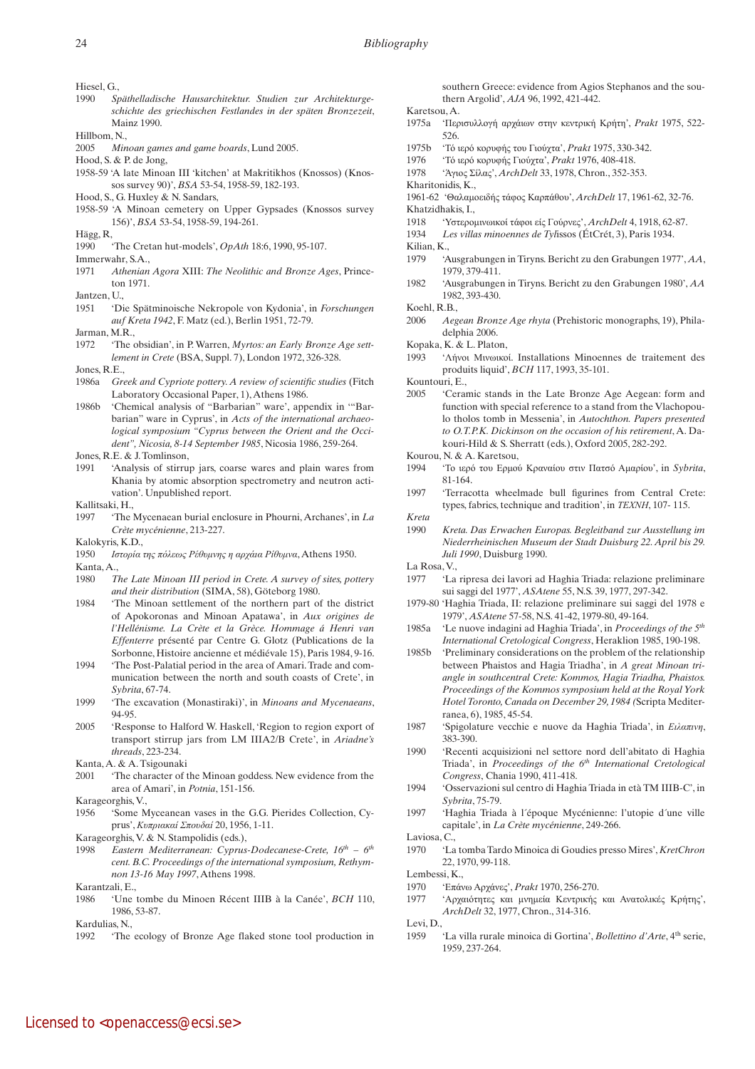Hiesel, G.

- 1990 *Späthelladische Hausarchitektur. Studien zur Architekturgeschichte des griechischen Festlandes in der späten Bronzezeit*, Mainz 1990.
- Hillbom, N.,
- 2005 *Minoan games and game boards*, Lund 2005.
- Hood, S. & P. de Jong,
- 1958-59 'A late Minoan III 'kitchen' at Makritikhos (Knossos) (Knossos survey 90)', *BSA* 53-54, 1958-59, 182-193.
- Hood, S., G. Huxley & N. Sandars,
- 1958-59 'A Minoan cemetery on Upper Gypsades (Knossos survey 156)', *BSA* 53-54, 1958-59, 194-261.
- Hägg, R,
- 1990 'The Cretan hut-models', *OpAth* 18:6, 1990, 95-107.
- Immerwahr, S.A., 1971 *Athenian Agora* XIII: *The Neolithic and Bronze Ages*, Princeton 1971.
- Jantzen, U.,
- 1951 'Die Spätminoische Nekropole von Kydonia', in *Forschungen auf Kreta 1942*, F. Matz (ed.), Berlin 1951, 72-79.
- Jarman, M.R.,
- 1972 'The obsidian', in P. Warren, *Myrtos: an Early Bronze Age settlement in Crete* (BSA, Suppl. 7), London 1972, 326-328.
- Jones, R.E.,
- 1986a *Greek and Cypriote pottery. A review of scientific studies* (Fitch Laboratory Occasional Paper, 1), Athens 1986.
- 1986b 'Chemical analysis of "Barbarian" ware', appendix in '"Barbarian" ware in Cyprus', in *Acts of the international archaeological symposium "Cyprus between the Orient and the Occident", Nicosia, 8-14 September 1985*, Nicosia 1986, 259-264.
- Jones, R.E. & J. Tomlinson,
- 1991 'Analysis of stirrup jars, coarse wares and plain wares from Khania by atomic absorption spectrometry and neutron activation'. Unpublished report.
- Kallitsaki, H.,
- 1997 'The Mycenaean burial enclosure in Phourni, Archanes', in *La Crète mycénienne*, 213-227.
- Kalokyris, K.D.,
- 1950 *Ιστορία της πόλεως Ρέθυμνης η αρχάια Ρίθυμνα*, Athens 1950. Kanta, A.,
- 1980 *The Late Minoan III period in Crete. A survey of sites, pottery and their distribution* (SIMA, 58), Göteborg 1980.
- 1984 'The Minoan settlement of the northern part of the district of Apokoronas and Minoan Apatawa', in *Aux origines de l'Hellénisme. La Crète et la Grèce. Hommage á Henri van Effenterre* présenté par Centre G. Glotz (Publications de la Sorbonne, Histoire ancienne et médiévale 15), Paris 1984, 9-16.
- 1994 'The Post-Palatial period in the area of Amari. Trade and communication between the north and south coasts of Crete', in *Sybrita*, 67-74.
- 1999 'The excavation (Monastiraki)', in *Minoans and Mycenaeans*, 94-95.
- 2005 'Response to Halford W. Haskell, 'Region to region export of transport stirrup jars from LM IIIA2/B Crete', in *Ariadne's threads*, 223-234.
- Kanta, A. & A. Tsigounaki
- 2001 'The character of the Minoan goddess. New evidence from the area of Amari', in *Potnia*, 151-156.
- Karageorghis, V.,
- 1956 'Some Myceanean vases in the G.G. Pierides Collection, Cyprus', *Κυπριακαί Σπουδαί* 20, 1956, 1-11.
- Karageorghis, V. & N. Stampolidis (eds.),
- 1998 *Eastern Mediterranean: Cyprus-Dodecanese-Crete, 16<sup>th</sup> 6<sup>th</sup> cent. B.C. Proceedings of the international symposium, Rethymnon 13-16 May 1997*, Athens 1998.

Karantzali, E.,

1986 'Une tombe du Minoen Récent IIIB à la Canée', *BCH* 110, 1986, 53-87.

Kardulias, N.,

southern Greece: evidence from Agios Stephanos and the southern Argolid', *AJA* 96, 1992, 421-442.

Karetsou, A.

- 1975a 'Περισυλλογή αρχάιων στην κεντρική Κρήτη', *Prakt* 1975, 522- 526.
- 1975b 'Τό ιερό κορυφής του Γιούχτα', *Prakt* 1975, 330-342.
- 1976 'Τό ιερό κορυφής Γιούχτα', *Prakt* 1976, 408-418.
- 1978 'Άγιος Σίλας', *ArchDelt* 33, 1978, Chron., 352-353.
- Kharitonidis, K.,
- 1961-62 'Θαλαμοειδής τάφος Καρπάθου', *ArchDelt* 17, 1961-62, 32-76.
- Khatzidhakis, I.,
- 1918 'Υστερομινωικοί τάφοι είς Γούρνες', *ArchDelt* 4, 1918, 62-87.
- 1934 *Les villas minoennes de Tyl*issos (ÉtCrét, 3), Paris 1934.
- Kilian, K.,
- 1979 'Ausgrabungen in Tiryns. Bericht zu den Grabungen 1977', *AA*, 1979, 379-411.
- 1982 'Ausgrabungen in Tiryns. Bericht zu den Grabungen 1980', *AA* 1982, 393-430.
- Koehl, R.B.,
- 2006 *Aegean Bronze Age rhyta* (Prehistoric monographs, 19), Philadelphia 2006.
- Kopaka, K. & L. Platon,
- 1993 'Λήνοι Μινωικοί. Installations Minoennes de traitement des produits liquid', *BCH* 117, 1993, 35-101.

Kountouri, E.,

- 2005 'Ceramic stands in the Late Bronze Age Aegean: form and function with special reference to a stand from the Vlachopoulo tholos tomb in Messenia', in *Autochthon. Papers presented to O.T.P.K. Dickinson on the occasion of his retirement*, A. Dakouri-Hild & S. Sherratt (eds.), Oxford 2005, 282-292.
- Kourou, N. & A. Karetsou,
- 1994 'Το ιερό του Ερμού Κραναίου στιν Πατσό Αμαρίου', in *Sybrita*, 81-164.
- 1997 'Terracotta wheelmade bull figurines from Central Crete: types, fabrics, technique and tradition', in *ΤΕΧΝΗ*, 107- 115. *Kreta*
- 1990 *Kreta. Das Erwachen Europas. Begleitband zur Ausstellung im Niederrheinischen Museum der Stadt Duisburg 22. April bis 29.*

*Juli 1990*, Duisburg 1990. La Rosa, V.,

- 1977 'La ripresa dei lavori ad Haghia Triada: relazione preliminare sui saggi del 1977', *ASAtene* 55, N.S. 39, 1977, 297-342.
- 1979-80 'Haghia Triada, II: relazione preliminare sui saggi del 1978 e 1979', *ASAtene* 57-58, N.S. 41-42, 1979-80, 49-164.
- 1985a 'Le nuove indagini ad Haghia Triada', in *Proceedings of the 5th International Cretological Congress*, Heraklion 1985, 190-198.
- 1985b 'Preliminary considerations on the problem of the relationship between Phaistos and Hagia Triadha', in *A great Minoan triangle in southcentral Crete: Kommos, Hagia Triadha, Phaistos. Proceedings of the Kommos symposium held at the Royal York Hotel Toronto, Canada on December 29, 1984 (*Scripta Mediterranea, 6), 1985, 45-54.
- 1987 'Spigolature vecchie e nuove da Haghia Triada', in *Ειλαπινη*, 383-390.
- 1990 'Recenti acquisizioni nel settore nord dell'abitato di Haghia Triada', in *Proceedings of the 6th International Cretological Congress*, Chania 1990, 411-418.
- 1994 'Osservazioni sul centro di Haghia Triada in età TM IIIB-C', in *Sybrita*, 75-79.
- 1997 'Haghia Triada à l´époque Mycénienne: l'utopie d´une ville capitale', in *La Crète mycénienne*, 249-266.

Laviosa, C.,

1970 'La tomba Tardo Minoica di Goudies presso Mires', *KretChron* 22, 1970, 99-118.

Lembessi, K.,

- 1970 'Επάνω Αρχάνες', *Prakt* 1970, 256-270.
- 1977 'Αρχαιότητες και μνημεία Κεντρικής και Ανατολικές Κρήτης', *ArchDelt* 32, 1977, Chron., 314-316.

Levi, D.,

1959 'La villa rurale minoica di Gortina', *Bollettino d'Arte*, 4<sup>th</sup> serie, 1959, 237-264.

<sup>1992</sup> 'The ecology of Bronze Age flaked stone tool production in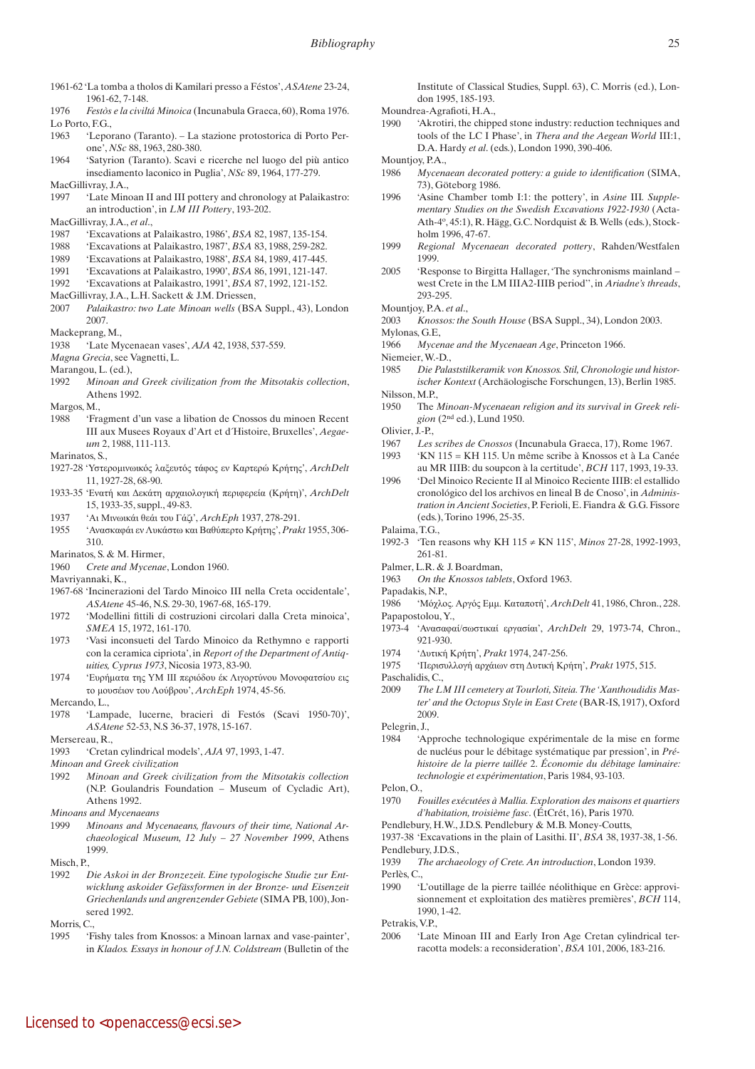- 1961-62 'La tomba a tholos di Kamilari presso a Féstos', *ASAtene* 23-24, 1961-62, 7-148.
- 1976 *Festòs e la civiltá Minoica* (Incunabula Graeca, 60), Roma 1976. Lo Porto, F.G.,
- 1963 'Leporano (Taranto). La stazione protostorica di Porto Perone', *NSc* 88, 1963, 280-380.
- 1964 'Satyrion (Taranto). Scavi e ricerche nel luogo del più antico insediamento laconico in Puglia', *NSc* 89, 1964, 177-279.
- MacGillivray, J.A.,
- 1997 'Late Minoan II and III pottery and chronology at Palaikastro: an introduction', in *LM III Pottery*, 193-202.
- MacGillivray, J.A., *et al*.,
- 1987 'Excavations at Palaikastro, 1986', *BSA* 82, 1987, 135-154.
- 1988 'Excavations at Palaikastro, 1987', *BSA* 83, 1988, 259-282.
- 1989 'Excavations at Palaikastro, 1988', *BSA* 84, 1989, 417-445.
- 1991 'Excavations at Palaikastro, 1990', *BSA* 86, 1991, 121-147.
- 1992 'Excavations at Palaikastro, 1991', *BSA* 87, 1992, 121-152.
- MacGillivray, J.A., L.H. Sackett & J.M. Driessen,
- 2007 *Palaikastro: two Late Minoan wells* (BSA Suppl., 43), London 2007.
- Mackeprang, M.,
- 1938 'Late Mycenaean vases', *AJA* 42, 1938, 537-559.
- *Magna Grecia*, see Vagnetti, L.
- Marangou, L. (ed.),
- 1992 *Minoan and Greek civilization from the Mitsotakis collection*, Athens 1992.
- Margos, M.,
- 1988 'Fragment d'un vase a libation de Cnossos du minoen Recent III aux Musees Royaux d'Art et d´Histoire, Bruxelles', *Aegaeum* 2, 1988, 111-113.
- Marinatos, S.,
- 1927-28 'Υστερομινωικός λαξευτός τάφος εν Καρτερώ Κρήτης', *ArchDelt* 11, 1927-28, 68-90.
- 1933-35 'Ενατή και Δεκάτη αρχαιολογική περιφερεία (Κρήτη)', *ArchDelt* 15, 1933-35, suppl., 49-83.
- 1937 'Αι Μινωικάι θεάι του Γάζι', *ArchEph* 1937, 278-291.
- 1955 'Ανασκαφάι εν Λυκάστω και Βαθύπερτο Κρήτης', *Prakt* 1955, 306- 310.
- Marinatos, S. & M. Hirmer,
- 1960 *Crete and Mycenae*, London 1960.
- Mavriyannaki, K.,
- 1967-68 'Incinerazioni del Tardo Minoico III nella Creta occidentale', *ASAtene* 45-46, N.S. 29-30, 1967-68, 165-179.
- 1972 'Modellini fittili di costruzioni circolari dalla Creta minoica', *SMEA* 15, 1972, 161-170.
- 1973 'Vasi inconsueti del Tardo Minoico da Rethymno e rapporti con la ceramica cipriota', in *Report of the Department of Antiquities, Cyprus 1973*, Nicosia 1973, 83-90.
- 1974 'Ευρήματα της ΥΜ ΙΙΙ περιόδου έκ Λιγορτύνου Μονοφατσίου εις το μουσέιον του Λούβρου', *ArchEph* 1974, 45-56.

Mercando, L.,

- 1978 'Lampade, lucerne, bracieri di Festós (Scavi 1950-70)', *ASAtene* 52-53, N.S 36-37, 1978, 15-167.
- Mersereau, R.,
- 1993 'Cretan cylindrical models', *AJA* 97, 1993, 1-47.
- *Minoan and Greek civilization*
- 1992 *Minoan and Greek civilization from the Mitsotakis collection* (N.P. Goulandris Foundation – Museum of Cycladic Art), Athens 1992.
- *Minoans and Mycenaeans*
- 1999 *Minoans and Mycenaeans, flavours of their time, National Archaeological Museum, 12 July – 27 November 1999*, Athens 1999.
- Misch, P.,
- 1992 *Die Askoi in der Bronzezeit. Eine typologische Studie zur Entwicklung askoider Gefässformen in der Bronze- und Eisenzeit Griechenlands und angrenzender Gebiete* (SIMA PB, 100), Jonsered 1992.
- Morris, C.
- 1995 'Fishy tales from Knossos: a Minoan larnax and vase-painter', in *Klados. Essays in honour of J.N. Coldstream* (Bulletin of the

Institute of Classical Studies, Suppl. 63), C. Morris (ed.), London 1995, 185-193.

- Moundrea-Agrafioti, H.A.,
- 1990 'Akrotiri, the chipped stone industry: reduction techniques and tools of the LC I Phase', in *Thera and the Aegean World* III:1, D.A. Hardy *et al*. (eds.), London 1990, 390-406.

Mountjoy, P.A.,

- 1986 *Mycenaean decorated pottery: a guide to identification* (SIMA, 73), Göteborg 1986.
- 1996 'Asine Chamber tomb I:1: the pottery', in *Asine* III*. Supplementary Studies on the Swedish Excavations 1922-1930* (Acta-Ath-4o, 45:1), R. Hägg, G.C. Nordquist & B. Wells (eds.), Stockholm 1996, 47-67.
- 1999 *Regional Mycenaean decorated pottery*, Rahden/Westfalen 1999.
- 2005 'Response to Birgitta Hallager, 'The synchronisms mainland west Crete in the LM IIIA2-IIIB period'', in *Ariadne's threads*, 293-295.
- Mountjoy, P.A. *et al*.,
- 2003 *Knossos: the South House* (BSA Suppl., 34), London 2003.
- Mylonas, G.E,
- 1966 *Mycenae and the Mycenaean Age*, Princeton 1966.
- Niemeier, W.-D.,
- 1985 *Die Palaststilkeramik von Knossos. Stil, Chronologie und historischer Kontext* (Archäologische Forschungen, 13), Berlin 1985. Nilsson, M.P.,
- 1950 The *Minoan-Mycenaean religion and its survival in Greek religion* (2nd ed.), Lund 1950.
- Olivier, J.-P.,
- 1967 *Les scribes de Cnossos* (Incunabula Graeca, 17), Rome 1967.
- 1993 'KN 115 = KH 115. Un même scribe à Knossos et à La Canée au MR IIIB: du soupcon à la certitude', *BCH* 117, 1993, 19-33.
- 1996 'Del Minoico Reciente II al Minoico Reciente IIIB: el estallido cronológico del los archivos en lineal B de Cnoso', in *Administration in Ancient Societies*, P. Ferioli, E. Fiandra & G.G. Fissore (eds.), Torino 1996, 25-35.
- Palaima, T.G.,
- 1992-3 'Ten reasons why KH 115 ≠ KN 115', *Minos* 27-28, 1992-1993, 261-81.
- Palmer, L.R. & J. Boardman,
- 1963 *On the Knossos tablets*, Oxford 1963.
- Papadakis, N.P.,
- 1986 'Μόχλος. Αργός Εμμ. Καταποτή', *ArchDelt* 41, 1986, Chron., 228. Papapostolou, Y.,
- 1973-4 'Ανασαφαί/σωστικαί εργασίαι', *ArchDelt* 29, 1973-74, Chron., 921-930.
- 1974 'Δυτική Κρήτη', *Prakt* 1974, 247-256.
- 1975 'Περισυλλογή αρχάιων στη Δυτική Κρήτη', *Prakt* 1975, 515.
- Paschalidis, C.,
- 2009 *The LM III cemetery at Tourloti, Siteia. The 'Xanthoudidis Master' and the Octopus Style in East Crete* (BAR-IS, 1917), Oxford 2009.
- Pelegrin, J.,
- 1984 'Approche technologique expérimentale de la mise en forme de nucléus pour le débitage systématique par pression', in *Préhistoire de la pierre taillée* 2. *Économie du débitage laminaire: technologie et expérimentation*, Paris 1984, 93-103.
- Pelon, O.,
- 1970 *Fouilles exécutées à Mallia. Exploration des maisons et quartiers d'habitation, troisième fasc*. (ÉtCrét, 16), Paris 1970.
- Pendlebury, H.W., J.D.S. Pendlebury & M.B. Money-Coutts,

1937-38 'Excavations in the plain of Lasithi. II', *BSA* 38, 1937-38, 1-56. Pendlebury, J.D.S.,

- 1939 *The archaeology of Crete. An introduction*, London 1939.
- Perlès, C.
- 1990 'L'outillage de la pierre taillée néolithique en Grèce: approvisionnement et exploitation des matières premières', *BCH* 114, 1990, 1-42.

Petrakis, V.P.,

2006 'Late Minoan III and Early Iron Age Cretan cylindrical terracotta models: a reconsideration', *BSA* 101, 2006, 183-216.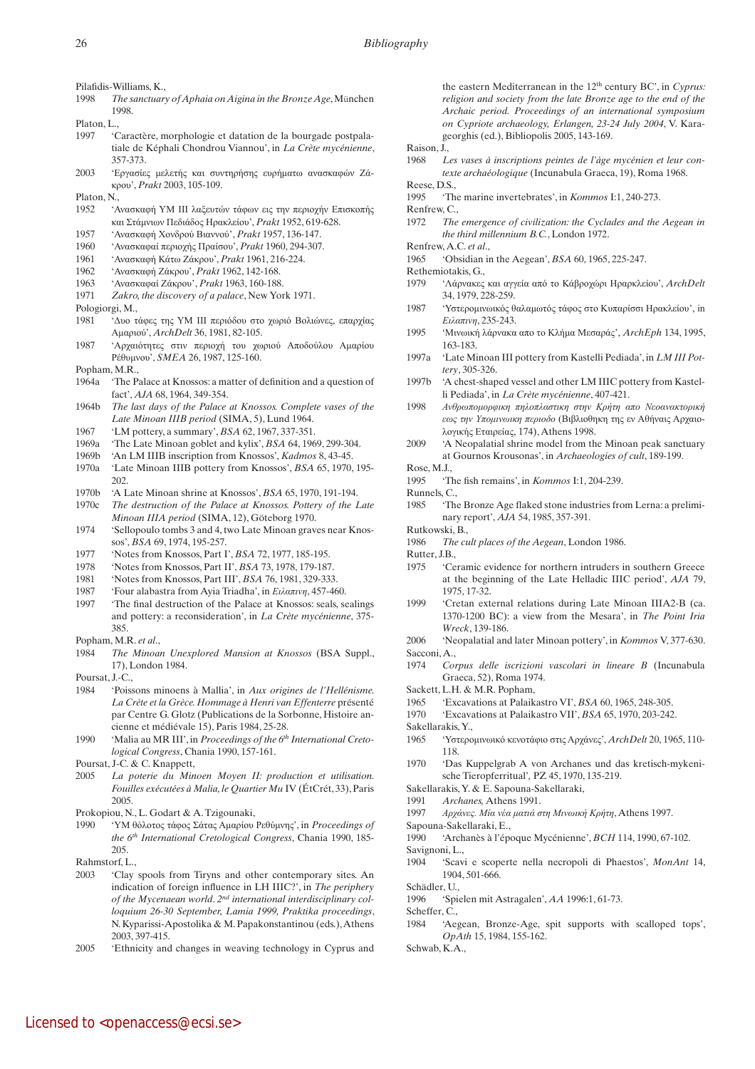Pilafidis-Williams, K.,

- 1998 *The sanctuary of Aphaia on Aigina in the Bronze Age*, München 1998.
- Platon, L.,
- 1997 'Caractère, morphologie et datation de la bourgade postpalatiale de Képhali Chondrou Viannou', in *La Crète mycénienne*, 357-373.
- 2003 'Εργασίες μελετής και συντηρήσης ευρήματω ανασκαφών Ζάκρου', *Prakt* 2003, 105-109.
- Platon, N.,
- 1952 'Ανασκαφή ΥΜ ΙΙΙ λαξευτών τάφων εις την περιοχήν Επισκοπής και Στάμνιων Πεδιάδος Ηρακλείου', *Prakt* 1952, 619-628.
- 1957 'Ανασκαφή Χονδρού Βιαννού', *Prakt* 1957, 136-147.
- 1960 'Ανασκαφαί περιοχής Πραίσου', *Prakt* 1960, 294-307.
- 1961 'Ανασκαφή Κάτω Ζάκρου', *Prakt* 1961, 216-224.
- 1962 'Ανασκαφή Ζάκρου', *Prakt* 1962, 142-168.
- 1963 'Ανασκαφαί Ζάκρου', *Prakt* 1963, 160-188.
- 1971 *Zakro, the discovery of a palace*, New York 1971.
- Pologiorgi, M.,
- 1981 'Δυο τάφες της ΥΜ ΙΙΙ περιόδου στο χωριό Βολιώνες, επαρχίας Αμαριού', *ArchDelt* 36, 1981, 82-105.
- 1987 'Αρχαιότητες στιν περιοχή του χωριού Αποδούλου Αμαρίου Ρέθυμνου', *SMEA* 26, 1987, 125-160.
- Popham, M.R.,
- 1964a 'The Palace at Knossos: a matter of definition and a question of fact', *AJA* 68, 1964, 349-354.
- 1964b *The last days of the Palace at Knossos. Complete vases of the Late Minoan IIIB period* (SIMA, 5), Lund 1964.
- 1967 'LM pottery, a summary', *BSA* 62, 1967, 337-351.
- 1969a 'The Late Minoan goblet and kylix', *BSA* 64, 1969, 299-304.
- 1969b 'An LM IIIB inscription from Knossos', *Kadmos* 8, 43-45.
- 1970a 'Late Minoan IIIB pottery from Knossos', *BSA* 65, 1970, 195- 202.
- 1970b 'A Late Minoan shrine at Knossos', *BSA* 65, 1970, 191-194.
- 1970c *The destruction of the Palace at Knossos. Pottery of the Late*
- *Minoan IIIA period* (SIMA, 12), Göteborg 1970. 1974 'Sellopoulo tombs 3 and 4, two Late Minoan graves near Knossos', *BSA* 69, 1974, 195-257.
- 1977 'Notes from Knossos, Part I', *BSA* 72, 1977, 185-195.
- 1978 'Notes from Knossos, Part II', *BSA* 73, 1978, 179-187.
- 1981 'Notes from Knossos, Part III', *BSA* 76, 1981, 329-333.
- 1987 'Four alabastra from Ayia Triadha', in *Ειλαπινη*, 457-460.
- 1997 'The final destruction of the Palace at Knossos: seals, sealings and pottery: a reconsideration', in *La Crète mycénienne*, 375- 385.
- Popham, M.R. *et al*.,
- 1984 *The Minoan Unexplored Mansion at Knossos* (BSA Suppl., 17), London 1984.

Poursat, J.-C.

- 1984 'Poissons minoens à Mallia', in *Aux origines de l'Hellénisme. La Crète et la Grèce. Hommage à Henri van Effenterre* présenté par Centre G. Glotz (Publications de la Sorbonne, Histoire ancienne et médiévale 15), Paris 1984, 25-28.
- 1990 'Malia au MR III', in *Proceedings of the 6th International Cretological Congress*, Chania 1990, 157-161.

Poursat, J-C. & C. Knappett,

2005 *La poterie du Minoen Moyen II: production et utilisation. Fouilles exécutées à Malia, le Quartier Mu* IV (ÉtCrét, 33), Paris 2005.

Prokopiou, N., L. Godart & A. Tzigounaki,

- 1990 'ΥΜ θόλοτος τάφος Σάτας Αμαρίου Ρεθύμνης', in *Proceedings of the 6th International Cretological Congress*, Chania 1990, 185- 205.
- Rahmstorf<sub>L.</sub>
- 2003 'Clay spools from Tiryns and other contemporary sites. An indication of foreign influence in LH IIIC?', in *The periphery of the Mycenaean world*. *2nd international interdisciplinary colloquium 26-30 September, Lamia 1999, Praktika proceedings*, N. Kyparissi-Apostolika & M. Papakonstantinou (eds.), Athens 2003, 397-415.
- 2005 'Ethnicity and changes in weaving technology in Cyprus and

the eastern Mediterranean in the 12th century BC', in *Cyprus: religion and society from the late Bronze age to the end of the Archaic period. Proceedings of an international symposium on Cypriote archaeology, Erlangen, 23-24 July 2004*, V. Karageorghis (ed.), Bibliopolis 2005, 143-169.

- Raison, J.,
- 1968 *Les vases à inscriptions peintes de l'àge mycénien et leur contexte archaéologique* (Incunabula Graeca, 19), Roma 1968. Reese, D.S.,
- 1995 'The marine invertebrates', in *Kommos* I:1, 240-273.
- Renfrew, C.,
- 1972 *The emergence of civilization: the Cyclades and the Aegean in the third millennium B.C.*, London 1972.
- Renfrew, A.C. *et al*.,
- 1965 'Obsidian in the Aegean', *BSA* 60, 1965, 225-247.
- Rethemiotakis, G.,
- 1979 'Λάρνακες και αγγεία από το Κάβροχώρι Ηραρκλείου', *ArchDelt*  34, 1979, 228-259.
- 1987 'Υστερομινωικός θαλαμωτός τάφος στο Κυπαρίσσι Ηρακλείου', in *Ειλαπινη*, 235-243.
- 1995 'Μινωική λάρνακα απο το Κλήμα Μεσαράς', *ArchEph* 134, 1995, 163-183.
- 1997a 'Late Minoan III pottery from Kastelli Pediada', in *LM III Pottery*, 305-326.
- 1997b 'A chest-shaped vessel and other LM IIIC pottery from Kastelli Pediada', in *La Crète mycénienne*, 407-421.
- 1998 *Ανθρωπομορφικη πηλοπλαστικη στην Κρήτη απο Νεοανακτορική εως την Υπομινωικη περιοδο* (Βιβλιοθηκη της εν Αθήναις Αρχαιολογικής Εταιρείας, 174), Athens 1998.
- 2009 'A Neopalatial shrine model from the Minoan peak sanctuary at Gournos Krousonas', in *Archaeologies of cult*, 189-199.
- Rose, M.J.,
- 1995 'The fish remains', in *Kommos* I:1, 204-239.
- Runnels, C.
- 1985 'The Bronze Age flaked stone industries from Lerna: a preliminary report', *AJA* 54, 1985, 357-391.
- Rutkowski, B.,
- 1986 *The cult places of the Aegean*, London 1986.

Rutter, J.B.,

- 1975 'Ceramic evidence for northern intruders in southern Greece at the beginning of the Late Helladic IIIC period', *AJA* 79, 1975, 17-32.
- 1999 'Cretan external relations during Late Minoan IIIA2-B (ca. 1370-1200 BC): a view from the Mesara', in *The Point Iria Wreck*, 139-186.
- 2006 'Neopalatial and later Minoan pottery', in *Kommos* V, 377-630. Sacconi, A.,
- 1974 *Corpus delle iscrizioni vascolari in lineare B* (Incunabula Graeca, 52), Roma 1974.
- Sackett, L.H. & M.R. Popham,
- 1965 'Excavations at Palaikastro VI', *BSA* 60, 1965, 248-305.
- 1970 'Excavations at Palaikastro VII', *BSA* 65, 1970, 203-242.
- Sakellarakis, Y.,
- 1965 'Υστερομινωικό κενοτάφιο στις Αρχάνες', *ArchDelt* 20, 1965, 110- 118.
- 1970 'Das Kuppelgrab A von Archanes und das kretisch-mykenische Tieropferritual'*,* PZ 45, 1970, 135-219.
- Sakellarakis, Y. & E. Sapouna-Sakellaraki,
- 1991 *Archanes,* Athens 1991.
- 1997 *Αρχάνες. Μία νέα ματιά στη Μινωική Κρήτη*, Athens 1997.
- Sapouna-Sakellaraki, E.,

1990 'Archanès à l'époque Mycénienne', *BCH* 114, 1990, 67-102.

- Savignoni, L.,
- 1904 'Scavi e scoperte nella necropoli di Phaestos', *MonAnt* 14, 1904, 501-666.
- Schädler, U.
- 1996 'Spielen mit Astragalen', *AA* 1996:1, 61-73.
- Scheffer, C.,
- 1984 'Aegean, Bronze-Age, spit supports with scalloped tops', *OpAth* 15, 1984, 155-162.
- Schwab, K.A.,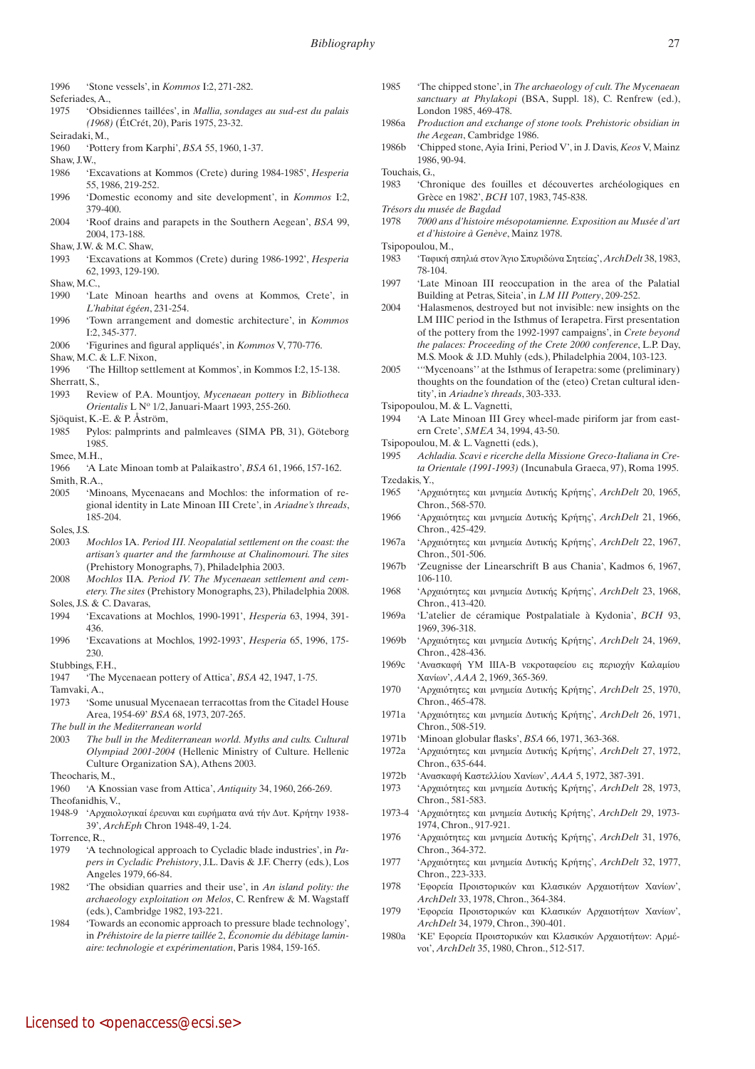- 1996 'Stone vessels', in *Kommos* I:2, 271-282.
- Seferiades, A.,
- 1975 'Obsidiennes taillées', in *Mallia, sondages au sud-est du palais (1968)* (ÉtCrét, 20), Paris 1975, 23-32.
- Seiradaki, M.,
- 1960 'Pottery from Karphi', *BSA* 55, 1960, 1-37.
- Shaw, J.W.,
- 1986 'Excavations at Kommos (Crete) during 1984-1985', *Hesperia* 55, 1986, 219-252.
- 1996 'Domestic economy and site development', in *Kommos* I:2, 379-400.
- 2004 'Roof drains and parapets in the Southern Aegean', *BSA* 99, 2004, 173-188.
- Shaw, J.W. & M.C. Shaw,
- 1993 'Excavations at Kommos (Crete) during 1986-1992', *Hesperia* 62, 1993, 129-190.
- Shaw, M.C.,
- 1990 'Late Minoan hearths and ovens at Kommos, Crete', in *L'habitat égéen*, 231-254.
- 1996 'Town arrangement and domestic architecture', in *Kommos*  $I:2, 345-377$
- 2006 'Figurines and figural appliqués', in *Kommos* V, 770-776.
- Shaw, M.C. & L.F. Nixon,
- 1996 'The Hilltop settlement at Kommos', in Kommos I:2, 15-138. Sherratt, S.,
- 1993 Review of P.A. Mountjoy, *Mycenaean pottery* in *Bibliotheca Orientalis* L No 1/2, Januari-Maart 1993, 255-260.
- Sjöquist, K.-E. & P. Åström,
- 1985 Pylos: palmprints and palmleaves (SIMA PB, 31), Göteborg 1985.
- Smee, M.H.,
- 1966 'A Late Minoan tomb at Palaikastro', *BSA* 61, 1966, 157-162. Smith, R.A.,
- 2005 'Minoans, Mycenaeans and Mochlos: the information of regional identity in Late Minoan III Crete', in *Ariadne's threads*, 185-204.
- Soles, J.S.
- 2003 *Mochlos* IA. *Period III. Neopalatial settlement on the coast: the artisan's quarter and the farmhouse at Chalinomouri. The sites* (Prehistory Monographs, 7), Philadelphia 2003.
- 2008 *Mochlos* IIA*. Period IV. The Mycenaean settlement and cemetery. The sites* (Prehistory Monographs, 23), Philadelphia 2008. Soles, J.S. & C. Davaras,
- 1994 'Excavations at Mochlos, 1990-1991', *Hesperia* 63, 1994, 391- 436.
- 1996 'Excavations at Mochlos, 1992-1993', *Hesperia* 65, 1996, 175- 230.
- Stubbings, F.H.,
- 1947 'The Mycenaean pottery of Attica', *BSA* 42, 1947, 1-75.
- Tamvaki, A.,
- 1973 'Some unusual Mycenaean terracottas from the Citadel House Area, 1954-69' *BSA* 68, 1973, 207-265.
- *The bull in the Mediterranean world*
- 2003 *The bull in the Mediterranean world. Myths and cults. Cultural Olympiad 2001-2004* (Hellenic Ministry of Culture. Hellenic Culture Organization SA), Athens 2003.
- Theocharis, M.,
- 1960 'A Knossian vase from Attica', *Antiquity* 34, 1960, 266-269. Theofanidhis, V.,
- 1948-9 'Αρχαιολογικαί έρευναι και ευρήματα ανά τήν Δυτ. Κρήτην 1938- 39', *ArchEph* Chron 1948-49, 1-24.
- Torrence, R.,
- 1979 'A technological approach to Cycladic blade industries', in *Papers in Cycladic Prehistory*, J.L. Davis & J.F. Cherry (eds.), Los Angeles 1979, 66-84.
- 1982 'The obsidian quarries and their use', in *An island polity: the archaeology exploitation on Melos*, C. Renfrew & M. Wagstaff (eds.), Cambridge 1982, 193-221.
- 1984 'Towards an economic approach to pressure blade technology', in *Préhistoire de la pierre taillée* 2, *Économie du débitage laminaire: technologie et expérimentation*, Paris 1984, 159-165.
- 1985 'The chipped stone', in *The archaeology of cult. The Mycenaean sanctuary at Phylakopi* (BSA, Suppl. 18), C. Renfrew (ed.), London 1985, 469-478.
- 1986a *Production and exchange of stone tools. Prehistoric obsidian in the Aegean*, Cambridge 1986.
- 1986b 'Chipped stone, Ayia Irini, Period V', in J. Davis, *Keos* V, Mainz 1986, 90-94.
- Touchais, G.,
- 1983 'Chronique des fouilles et découvertes archéologiques en Grèce en 1982', *BCH* 107, 1983, 745-838.
- *Trésors du musée de Bagdad*
- 1978 *7000 ans d'histoire mésopotamienne. Exposition au Musée d'art et d'histoire à Genève*, Mainz 1978.
- Tsipopoulou, M.,
- 1983 'Ταφική σπηλιά στον Άγιο Σπυριδώνα Σητείας', *ArchDelt* 38, 1983, 78-104.
- 1997 'Late Minoan III reoccupation in the area of the Palatial Building at Petras, Siteia', in *LM III Pottery*, 209-252.
- 2004 'Halasmenos, destroyed but not invisible: new insights on the LM IIIC period in the Isthmus of Ierapetra. First presentation of the pottery from the 1992-1997 campaigns', in *Crete beyond the palaces: Proceeding of the Crete 2000 conference*, L.P. Day, M.S. Mook & J.D. Muhly (eds.), Philadelphia 2004, 103-123.
- 2005 '*''*Mycenoans'*'* at the Isthmus of Ierapetra: some (preliminary) thoughts on the foundation of the (eteo) Cretan cultural identity', in *Ariadne's threads*, 303-333.
- Tsipopoulou, M. & L. Vagnetti,
- 1994 'A Late Minoan III Grey wheel-made piriform jar from eastern Crete', *SMEA* 34, 1994, 43-50.
- Tsipopoulou, M. & L. Vagnetti (eds.),
- 1995 *Achladia. Scavi e ricerche della Missione Greco-Italiana in Creta Orientale (1991-1993)* (Incunabula Graeca, 97), Roma 1995.
- Tzedakis, Y.,
- 1965 'Αρχαιότητες και μνημεία Δυτικής Κρήτης', *ArchDelt* 20, 1965, Chron., 568-570.
- 1966 'Αρχαιότητες και μνημεία Δυτικής Κρήτης', *ArchDelt* 21, 1966, Chron., 425-429.
- 1967a 'Αρχαιότητες και μνημεία Δυτικής Κρήτης', *ArchDelt* 22, 1967, Chron., 501-506.
- 1967b 'Zeugnisse der Linearschrift B aus Chania', Kadmos 6, 1967, 106-110.
- 1968 'Αρχαιότητες και μνημεία Δυτικής Κρήτης', *ArchDelt* 23, 1968, Chron., 413-420.
- 1969a 'L'atelier de céramique Postpalatiale à Kydonia', *BCH* 93, 1969, 396-318.
- 1969b 'Αρχαιότητες και μνημεία Δυτικής Κρήτης', *ArchDelt* 24, 1969, Chron., 428-436.
- 1969c 'Ανασκαφή ΥΜ ΙΙΙΑ-Β νεκροταφείου εις περιοχήν Καλαμίου Χανίων', *AAA* 2, 1969, 365-369.
- 1970 'Αρχαιότητες και μνημεία Δυτικής Κρήτης', *ArchDelt* 25, 1970, Chron., 465-478.
- 1971a 'Αρχαιότητες και μνημεία Δυτικής Κρήτης', *ArchDelt* 26, 1971, Chron., 508-519.
- 1971b 'Minoan globular flasks', *BSA* 66, 1971, 363-368.
- 1972a 'Αρχαιότητες και μνημεία Δυτικής Κρήτης', *ArchDelt* 27, 1972, Chron., 635-644.
- 1972b 'Ανασκαφή Καστελλίου Χανίων', *AAA* 5, 1972, 387-391.
- 1973 'Αρχαιότητες και μνημεία Δυτικής Κρήτης', *ArchDelt* 28, 1973, Chron., 581-583.
- 1973-4 'Αρχαιότητες και μνημεία Δυτικής Κρήτης', *ArchDelt* 29, 1973- 1974, Chron., 917-921.
- 1976 'Αρχαιότητες και μνημεία Δυτικής Κρήτης', *ArchDelt* 31, 1976, Chron., 364-372.
- 1977 'Αρχαιότητες και μνημεία Δυτικής Κρήτης', *ArchDelt* 32, 1977, Chron., 223-333.
- 1978 'Εφορεία Προιστορικών και Κλασικών Αρχαιοτήτων Χανίων', *ArchDelt* 33, 1978, Chron., 364-384.
- 1979 'Εφορεία Προιστορικών και Κλασικών Αρχαιοτήτων Χανίων', *ArchDelt* 34, 1979, Chron., 390-401.
- 1980a 'ΚΕ' Εφορεία Προιστορικών και Κλασικών Αρχαιοτήτων: Αρμένοι', *ArchDelt* 35, 1980, Chron., 512-517.